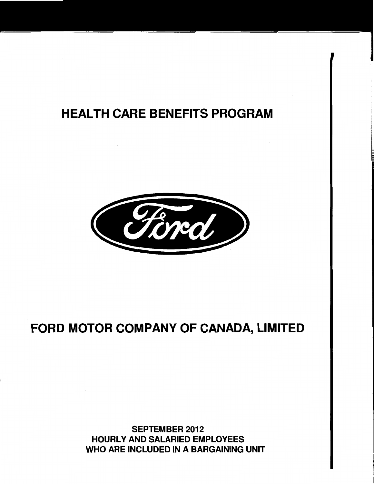## HEALTH CARE BENEFITS PROGRAM



# FORD MOTOR COMPANY OF CANADA, LIMITED

SEPTEMBER 2012 HOURLY AND SALARIED EMPLOYEES WHO ARE INCLUDED IN A BARGAINING UNIT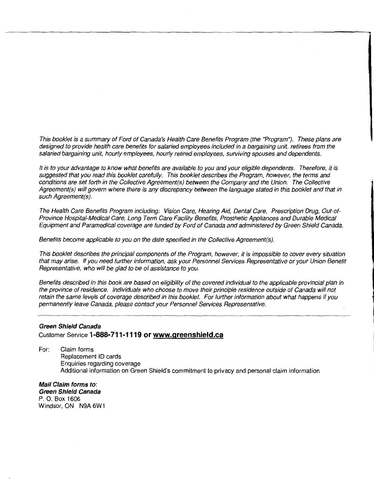This booklet is a summary of Ford of Canada's Health Care Benefits Program (the "Program''). These plans are designed to provide health care benefits for salaried employees included in a bargaining unit, retirees from the salaried bargaining unit, hourly employees, hourly retired employees, surviving spouses and dependents.

It is to your advantage to know what benefits are available to you and your eligible dependents. Therefore, *it* is suggested that you read this booklet carefully. This booklet describes the Program, however, the terms and conditions are set forth in the Collective Agreement(s) between the Company and the Union. The Collective Agreement(s) will govern where there is any discrepancy between the language stated in this booklet and that in such Agreement(s).

The Health Care Benefits Program including: Vision Care, Hearing Aid, Dental Care, Prescription Drug, Out-of-Province Hospital-Medica/ Care, Long Term Care Facility Benefits, Prosthetic Appliances and Durable Medical Equipment and Paramedical coverage are funded by Ford of Canada and administered by Green Shield Canada.

Benefits become applicable to you on the date specified in the Collective Agreement(s).

This booklet describes the principal components of the Program, however, *it* is impossible to cover every situation that may arise. If you need further information, ask your Personnel Services Representative or your Union Benefit Representative, who will be glad to be of assistance to you.

Benefits described in this book are based on eligibility of the covered individual to the applicable provincial plan in the province of residence. Individuals who choose to move their principle residence outside of Canada will not retain the same levels of coverage described in this booklet. For further information about what happens if you permanently leave Canada, please contact your Personnel Services Representative.

## **Green Shield Canada**  Customer Service **1-888-711-1119 or www.greenshield.ca**

For: Claim forms Replacement ID cards Enquiries regarding coverage Additional information on Green Shield's commitment to privacy and personal claim information

**Mail Claim forms to: Green Shield Canada**  P. 0. Box 1606 Windsor, ON N9A 6W1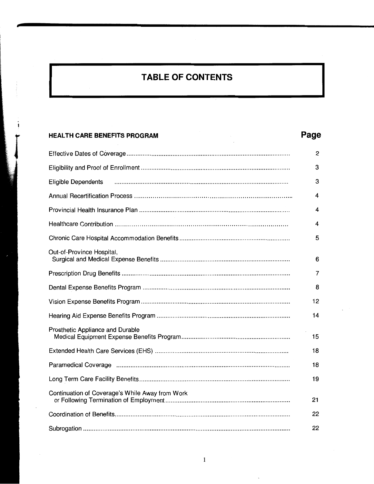# TABLE OF CONTENTS

 $\ddot{\bullet}$ 

| <b>HEALTH CARE BENEFITS PROGRAM</b>             | Page |
|-------------------------------------------------|------|
|                                                 | 2    |
|                                                 | З    |
| Eligible Dependents                             | 3    |
|                                                 | 4    |
|                                                 | 4    |
|                                                 | 4    |
|                                                 | 5    |
| Out-of-Province Hospital,                       | 6    |
|                                                 | 7    |
|                                                 | 8    |
|                                                 | 12   |
|                                                 | 14   |
| Prosthetic Appliance and Durable                | 15   |
|                                                 | 18   |
|                                                 | 18   |
|                                                 | 19   |
| Continuation of Coverage's While Away from Work | 21   |
|                                                 | 22   |
|                                                 | 22   |

 $\hat{\mathbf{v}}$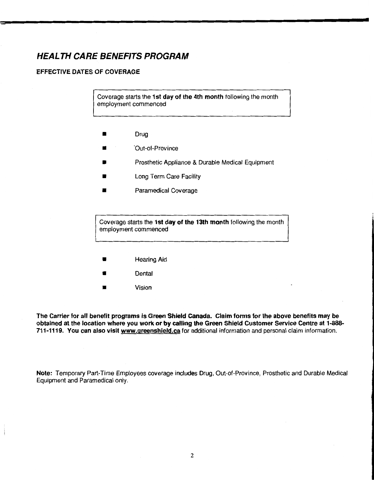## HEALTH CARE BENEFITS PROGRAM

## EFFECTIVE DATES OF COVERAGE

Coverage starts the 1st day of the 4th month following the month employment commenced

- Drug
- 'Out-of-Province
- Prosthetic Appliance & Durable Medical Equipment
- **Long Term Care Facility**
- Paramedical Coverage

Coverage starts the 1st day of the 13th month following the month employment commenced

- **Hearing Aid**
- **Dental**
- **Vision**

The Carrier for all benefit programs is Green Shield Canada. Claim forms for the above benefits may be obtained at the location where you work or by calling the Green Shield Customer Service Centre at 1-888- 711-1119. You can also visit www.qreenshield.ca for additional information and personal claim information.

Note: Temporary Part-Time Employees coverage includes Drug, Out-of-Province, Prosthetic and Durable Medical Equipment and Paramedical only.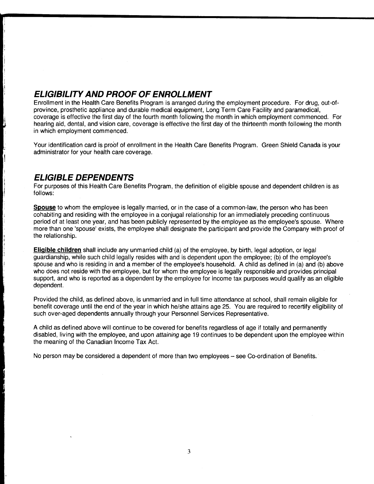## **ELIGIBILITY AND PROOF OF ENROLLMENT**

Enrollment in the Health Care Benefits Program is arranged during the employment procedure. For drug, out-ofprovince, prosthetic appliance and durable medical equipment, Long Term Care Facility and paramedical, coverage is effective the first day of the fourth month following the month in which employment commenced. For hearing aid, dental, and vision care, coverage is effective the first day of the thirteenth month following the month in which employment commenced.

Your identification card is proof of enrollment in the Health Care Benefits Program. Green Shield Canada is your administrator for your health care coverage.

## **ELIGIBLE DEPENDENTS**

For purposes of this Health Care Benefits Program, the definition of eligible spouse and dependent children is as follows:

**Spouse** to whom the employee is legally married, or in the case of a common-law, the person who has been cohabiting and residing with the employee in a conjugal relationship for an immediately preceding continuous period of at least one year, and has been publicly represented by the employee as the employee's spouse. Where more than one 'spouse' exists, the employee shall designate the participant and provide the Company with proof of the relationship.

**Eligible children** shall include any unmarried child (a) of the employee, by birth, legal adoption, or legal guardianship, while such child legally resides with and is dependent upon the employee; (b) of the employee's spouse and who is residing in and a member of the employee's household. A child as defined in (a) and (b) above who does not reside with the employee, but for whom the employee is legally responsible and provides principal support, and who is reported as a dependent by the employee for income tax purposes would qualify as an eligible dependent.

Provided the child, as defined above, is unmarried and in full time attendance at school, shall remain eligible for benefit coverage until the end of the year in which he/she attains age 25. You are required to recertify eligibility of such over-aged dependents annually through your Personnel Services Representative.

A child as defined above will continue to be covered for benefits regardless of age if totally and permanently disabled, living with the employee, and upon *attaining* age 19 continues to be dependent upon the employee within the meaning of the Canadian Income Tax Act.

No person may be considered a dependent of more than two employees – see Co-ordination of Benefits.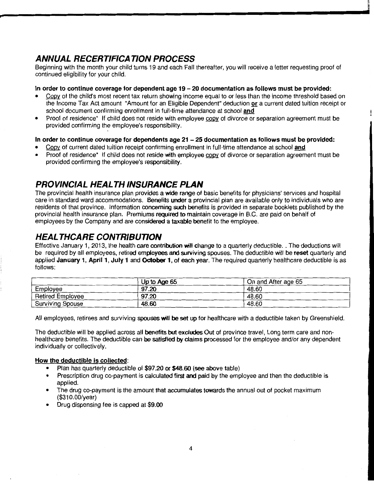## ANNUAL RECERTIFICATION PROCESS

Beginning with the month your child turns 19 and each Fall thereafter, you will receive a letter requesting proof of continued eligibility for your child.

## In order to continue coverage for dependent age 19 - 20 documentation as follows must be provided:

Copy of the child's most recent tax return showing income equal to or less than the income threshold based on the Income Tax Act amount "Amount for an Eligible Dependent" deduction or a current dated tuition receipt or school document confirming enrollment in full-time attendance at school and

j

Proof of residence\* If child does not reside with employee copy of divorce or separation agreement must be provided confirming the employee's responsibility.

## In order to continue coverage for dependents age  $21 - 25$  documentation as follows must be provided:

- Copy of current dated tuition receipt confirming enrollment in full-time attendance at school and
- Proof of residence\* If child does not reside with employee copy of divorce or separation agreement must be provided confirming the employee's responsibility.

## PROVINCIAL HEALTH INSURANCE PLAN

The provincial health insurance plan provides a wide range of basic benefits for physicians' services and hospital care in standard ward accommodations. Benefits under a provincial plan are available only to individuals who are residents of that province. Information concerning such benefits is provided in separate booklets published by the provincial health insurance plan. Premiums required to maintain coverage in B.C. are paid on behalf of employees by the Company and are considered a taxable benefit to the employee.

## HEAL THCARE CONTRIBUTION

Effective January 1, 2013, the health care contribution will change to a quarterly deductible. . The deductions will be required by all employees, retired employees and surviving spouses. The deductible will be reset quarterly and applied January 1, April 1, July 1 and October 1, of each year. The required quarterly healthcare deductible is as follows:

|                         | Up to Age 65 | On and After age 65 |
|-------------------------|--------------|---------------------|
| Employee                | 97.20        | 48.60               |
| <b>Retired Employee</b> | 97.20        | 48.60               |
| <b>Surviving Spouse</b> | 48.60        | 48.60               |

All employees, retirees and surviving spouses will be set up for healthcare with a deductible taken by Greenshield.

The deductible will be applied across all benefits but excludes Out of province travel, Long term care and nonhealthcare benefits. The deductible can be satisfied by claims processed for the employee and/or any dependent individually or collectively.

## How the deductible is collected:

- Plan has quarterly deductible of \$97.20 or \$48.60 (see above table)
- Prescription drug co-payment is calculated first and paid by the employee and then the deductible is applied.
- The drug co-payment is the amount that accumulates towards the annual out of pocket maximum (\$31 0.00/year)
- Drug dispensing fee is capped at \$9.00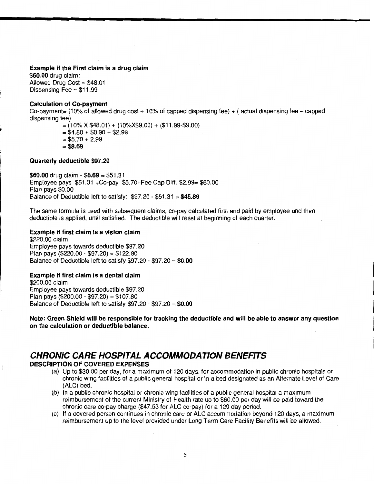#### **Example if the First claim is a drug claim**

**\$60.00** drug claim: Allowed Drug Cost= \$48.01 Dispensing  $\overline{Fee} = $11.99$ 

#### **Calculation of Co-payment**

Co-payment= (10% of allowed drug cost  $+$  10% of capped dispensing fee)  $+$  (actual dispensing fee - capped dispensing fee)

> $=(10\% \times $48.01) + (10\% \times $9.00) + ($11.99$.00)$  $= $4.80 + $0.90 + $2.99$  $= $5.70 + 2.99$ = **\$8.69**

### **Quarterly deductible \$97.20**

I'

:1 **\$60.00** drug claim- **\$8.69** = \$51.31 Employee pays \$51.31 +Co-pay \$5. 70+Fee Cap Diff. \$2.99= \$60.00 Plan pays \$0.00 Balance of Deductible left to satisfy: \$97.20- \$51.31 = **\$45.89** 

The same formula is used with subsequent claims, co-pay calculated first and paid by employee and then deductible is applied, until satisfied. The deductible will reset at beginning of each quarter.

#### **Example if first claim is a vision claim**

\$220.00 claim Employee pays towards deductible \$97.20 Plan pays (\$220.00 - \$97.20) = \$122.80 Balance of Deductible left to satisfy \$97.20 - \$97.20 = **\$0.00** 

### **Example if first claim is a dental claim**

\$200.00 claim Employee pays towards deductible \$97.20 Plan pays (\$200.00 - \$97.20) = \$107.80 Balance of Deductible left to satisfy \$97.20- \$97.20 = **\$0.00** 

**Note: Green Shield will be responsible for tracking the deductible and will be able to answer any question on the calculation or deductible balance.** 

## **CHRONIC CARE HOSPITAL ACCOMMODATION BENEFITS DESCRIPTION OF COVERED EXPENSES**

- (a) Up to \$30.00 per day, for a maximum of 120 days, for accommodation in public chronic hospitals or chronic wing facilities of a public general hospital or in a bed designated as an Alternate Level of Care (ALC) bed.
- (b) In a public chronic hospital or chronic wing facilities of a public general hospital a maximum reimbursement of the current Ministry of Health rate up to \$60.00 per day will be paid toward the chronic care co-pay charge (\$47.53 for ALC co-pay) for a 120 day period.
- (c) If a covered person continues in chronic care or ALC accommodation beyond 120 days, a maximum reimbursement up to the level provided under Long Term Care Facility Benefits will be allowed.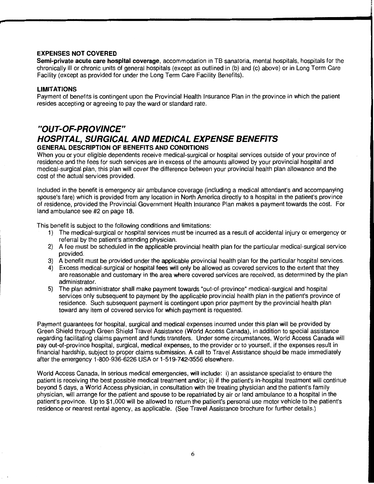#### **EXPENSES NOT COVERED**

**Semi-private acute care hospital coverage,** accommodation in TB sanatoria, mental hospitals, hospitals for the chronically ill or chronic units of general hospitals (except as outlined in (b) and (c) above) or in Long Term Care Facility (except as provided for under the Long Term Care Facility Benefits).

#### **LIMITATIONS**

Payment of benefits is contingent upon the Provincial Health Insurance Plan in the province in which the patient resides accepting or agreeing to pay the ward or standard rate.

## **"OUT-OF-PROVINCE" HOSPITAL, SURGICAL AND MEDICAL EXPENSE BENEFITS GENERAL DESCRIPTION OF BENEFITS AND CONDITIONS**

When you or your eligible dependents receive medical-surgical or hospital services outside of your province of residence and the fees for such services are in excess of the amounts allowed by your provincial hospital and medical-surgical plan, this plan will cover the difference between your provincial health plan allowance and the cost of the actual services provided.

Included in the benefit is emergency air ambulance coverage (including a medical attendant's and accompanying spouse's fare) which is provided from any location in North America directly to a hospital in the patient's province of residence, provided the Provincial Government Health Insurance Plan makes a payment towards the cost. For land ambulance see #2 on page 18.

This benefit is subject to the following conditions and limitations:

- 1) The medical-surgical or hospital services must be incurred as a result of accidental injury or emergency or referral by the patient's attending physician.
- 2) A fee must be scheduled in the applicable provincial health plan for the particular medical-surgical service provided.
- 3) A benefit must be provided under the applicable provincial health plan for the particular hospital services.
- 4) Excess medical-surgical or hospital fees will only be allowed as covered services to the extent that they are reasonable and customary in the area where covered services are received, as determined by the plan administrator.
- 5) The plan administrator shall make payment towards "out-of-province" medical-surgical and hospital services only subsequent to payment by the applicable provincial health plan in the patient's province of residence. Such subsequent payment is contingent upon prior payment by the provincial health plan toward any item of covered service for which payment is requested.

Payment guarantees for hospital, surgical and medical expenses incurred under this plan will be provided by Green Shield through Green Shield Travel Assistance (World Access Canada), in addition to special assistance regarding facilitating claims payment and funds transfers. Under some circumstances, World Access Canada will pay out-of-province hospital, surgical, medical expenses, to the provider or to yourself, if the expenses result in financial hardship, subject to proper claims submission. A call to Travel Assistance should be made immediately after the emergency 1-800-936-6226 USA or 1-519-742-3556 elsewhere.

World Access Canada, in serious medical emergencies, will include: i) an assistance specialist to ensure the patient is receiving the best possible medical treatment and/or; ii) if the patient's in-hospital treatment will continue beyond 5 days, a World Access physician, in consultation with the treating physician and the patient's family physician, will arrange for the patient and spouse to be repatriated by air or land ambulance to a hospital in the patient's province. Up to \$1,000 will be allowed to return the patient's personal use motor vehicle to the patient's residence or nearest rental agency, as applicable. (See Travel Assistance brochure for further details.)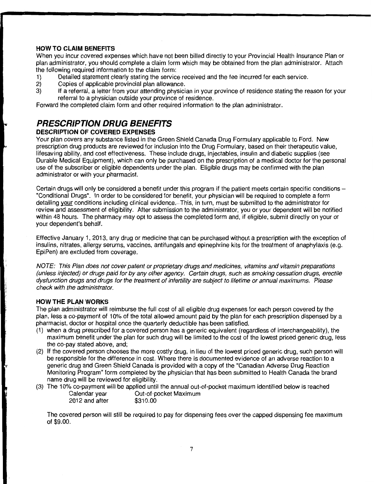## **HOW TO CLAIM BENEFITS**

When you incur covered expenses which have not been billed directly to your Provincial Health Insurance Plan or plan administrator, you should complete a claim form which may be obtained from the plan administrator. Attach the following required information to the claim form:

- 1) Detailed statement clearly stating the service received and the fee incurred for each service.<br>2) Copies of applicable provincial plan allowance.
- 
- 2) Copies of applicable provincial plan allowance.<br>3) If a referral, a letter from your attending physici If a referral, a letter from your attending physician in your province of residence stating the reason for your referral to a physician outside your province of residence.

Forward the completed claim form and other required information to the plan administrator.

## **PRESCRIPTION DRUG BENEFITS DESCRIPTION OF COVERED EXPENSES**

Your plan covers any substance listed in the Green Shield Canada Drug Formulary applicable to Ford. New prescription drug products are reviewed for inclusion into the Drug Formulary, based on their therapeutic value, lifesaving ability, and cost effectiveness. These include drugs, injectables, insulin and diabetic supplies (see Durable Medical Equipment), which can only be purchased on the prescription of a medical doctor for the personal use of the subscriber or eligible dependents under the plan. Eligible drugs may be confirmed with the plan administrator or with your pharmacist.

Certain drugs will only be considered a benefit under this program if the patient meets certain specific conditions- "Conditional Drugs". In order to be considered for benefit, your physician will be required to complete a form detailing your conditions including clinical evidence.-This, in turn, must be submitted to the administrator for review and assessment of eligibility. After submission to the administrator, you or your dependent will be notified within 48 hours. The pharmacy may opt to assess the completed form and, if eligible, submit directly on your or your dependent's behalf.

Effective January 1, 2013, any drug or medicine that can be purchased without a prescription with the exception of insulins, nitrates, allergy serums, vaccines, antifungals and epinephrine kits for the treatment of anaphylaxis (e.g. EpiPen) are excluded from coverage.

NOTE: This Plan does not cover patent or proprietary drugs and medicines, vitamins and vitamin preparations (unless injected) or drugs paid for by any other agency. Certain drugs, such as smoking cessation drugs, erectile dysfunction drugs and drugs for the treatment of infertility are subject to lifetime or annual maximums. Please check with the administrator.

## **HOW THE PLAN WORKS**

The plan administrator will reimburse the full cost of all eligible drug expenses for each person covered by the plan, less a co-payment of 10% of the total allowed amount paid by the plan for each prescription dispensed by a pharmacist, doctor or hospital once the quarterly deductible has been satisfied.

- (1) when a drug prescribed for a covered person has a generic equivalent (regardless of interchangeability), the maximum benefit under the plan for such drug will be limited to the cost of the lowest priced generic drug, less the co-pay stated above, and;
- (2) If the covered person chooses the more costly drug, in lieu of the lowest priced generic drug, such person will be responsible for the difference in cost. Where there is documented evidence of an adverse reaction to a generic drug and Green Shield Canada is provided with a copy of the "Canadian Adverse Drug Reaction Monitoring Program" form completed by the physician that has been submitted to Health Canada the brand name drug will be reviewed for eligibility.
- (3) The 10% co-payment will be applied until the annual out-of-pocket maximum identified below is reached

| Calendar year  | Out-of-pocket Maximum |
|----------------|-----------------------|
| 2012 and after | \$310.00              |

The covered person will still be required to pay for dispensing fees over the capped dispensing fee maximum of \$9.00.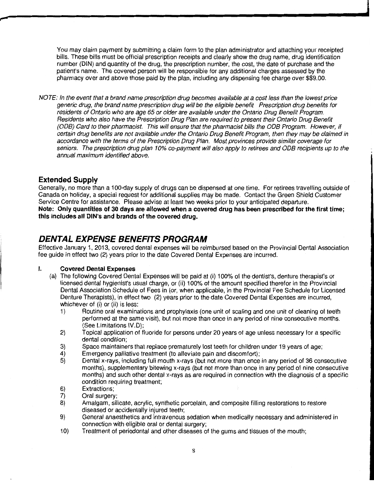You may claim payment by submitting a claim form to the plan administrator and attaching your receipted bills. These bills must be official prescription receipts and clearly show the drug name, drug identification number (DIN) and quantity of the drug, the prescription number, the cost, the date of purchase and the patient's name. The covered person will be responsible for any additional charges assessed by the pharmacy over and above those paid by the plan, including any dispensing fee charge over \$\$9.00.

NOTE: In the event that a brand name prescription drug becomes available at a cost less than the lowest price generic drug, the brand name prescription drug will be the eligible benefit Prescription drug benefits for residents of Ontario who are age 65 or older are available under the Ontario Drug Benefit Program. Residents who also have the Prescription Drug Plan are required to present their Ontario Drug Benefit (ODB) Card to their pharmacist. This will ensure that the pharmacist bills the ODB Program. However, if certain drug benefits are not available under the Ontario Drug Benefit Program, then they may be claimed in accordance with the terms of the Prescription Drug Plan. Most provinces provide similar coverage for seniors. The prescription drug plan 10% co-payment will also apply to retirees and ODB recipients up to the annual maximum identified above.

## **Extended Supply**

Generally, no more than a 100-day supply of drugs can be dispensed at one time. For retirees travelling outside of Canada on holiday, a special request for additional supplies may be made. Contact the Green Shield Customer Service Centre for assistance. Please advise at least two weeks prior to your anticipated departure. **Note: Only quantities of 30 days are allowed when a covered drug has been prescribed for the first time; this includes all DIN's and brands of the covered drug.** 

## **DENTAL EXPENSE BENEFITS PROGRAM**

Effective January 1 , 2013, covered dental expenses will be reimbursed based on the Provincial Dental Association fee guide in effect two (2) years prior to the date Covered Dental Expenses are incurred.

## I. **Covered Dental Expenses**

- (a) The following Covered Dental Expenses will be paid at (i) 100% of the dentist's, denture therapist's or licensed dental hygienist's usual charge, or (ii) 100% of the amount specified therefor in the Provincial Dental Association Schedule of Fees in (or, when applicable, in the Provincial Fee Schedule for Licensed Denture Therapists), in effect two (2) years prior to the date Covered Dental Expenses are incurred, whichever of (i) or (ii) is less:
	- 1) Routine oral examinations and prophylaxis (one unit of scaling and one unit of cleaning of teeth performed at the same visit), but not more than once in any period of nine consecutive months. (See Limitations IV.D);
	- 2) Topical application of fluoride for persons under 20 years of age unless necessary for a specific dental condition;
	- 3) Space maintainers that replace prematurely lost teeth for children under 19 years of age;
	- 4) Emergency palliative treatment (to alleviate pain and discomfort);
	- 5) Dental x-rays, including full mouth x-rays (but not more than once in any period of 36 consecutive months), supplementary bitewing x-rays (but not more than once in any period of nine consecutive months) and such other dental x-rays as are required in connection with the diagnosis of a specific condition requiring treatment;
	- 6) Extractions;
	- 7) Oral surgery;
	- 8) Amalgam, silicate, acrylic, synthetic porcelain, and composite filling restorations to restore diseased or accidentally injured teeth;
	- 9) General anaesthetics and intravenous sedation when medically necessary and administered in connection with eligible oral or dental surgery;
	- 1 0) Treatment of periodontal and other diseases of the gums and tissues of the mouth;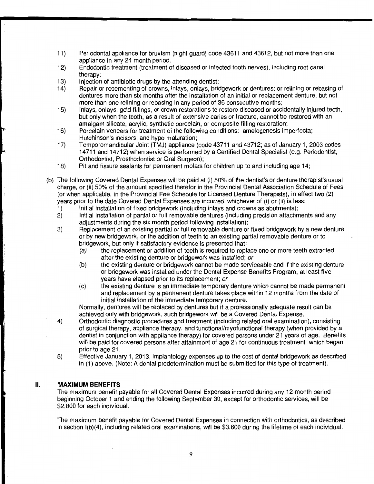- 11) Periodontal appliance for bruxism (night guard) code 43611 and 43612, but not more than one appliance in any 24 month period.
- 12) Endodontic treatment (treatment of diseased or infected tooth nerves), including root canal therapy;
- 13) Injection of antibiotic drugs by the attending dentist;<br>14) Pepair or recementing of crowns, inlays, onlays, brio
- Repair or recementing of crowns, inlays, onlays, bridgework or dentures; or relining or rebasing of dentures more than six months after the installation of an initial or replacement denture, but not more than one relining or rebasing in any period of 36 consecutive months;
- 15) Inlays, onlays, gold fillings, or crown restorations to restore diseased or accidentally injured teeth, but only when the tooth, as a result of extensive caries or fracture, cannot be restored with an amalgam silicate, acrylic, synthetic porcelain, or composite filling restoration;
- 16) Porcelain veneers for treatment of the following conditions: amelogenesis imperfecta; Hutchinson's incisors; and hypo maturation;
- 17) Temporomandibular Joint (TMJ) appliance (code 43711 and 43712; as of January 1, 2003 codes 14 711 and 14 712) when service is performed by a Certified Dental Specialist (e.g. Periodontist, Orthodontist, Prosthodontist or Oral Surgeon);
- 18) Pit and fissure sealants for permanent molars for children up to and including age 14;
- (b) The following Covered Dental Expenses will be paid at (i) 50% of the dentist's or denture therapist's usual charge, or (ii) 50% of the amount specified therefor in the Provincial Dental Association Schedule of Fees (or when applicable, in the Provincial Fee Schedule for Licensed Denture Therapists), in effect two (2) years prior to the date Covered Dental Expenses are incurred, whichever of (i) or (ii) is less:
	-
	- 1) Initial installation of fixed bridgework (including inlays and crowns as abutments);<br>2) Initial installation of partial or full removable dentures (including precision attachm 2) Initial installation of partial or full removable dentures (including precision attachments and any adjustments during the six month period following installation);
	- 3) Replacement of an existing partial or full removable denture or fixed bridgework by a new denture or by new bridgework, or the addition of teeth to an existing partial removable denture or to bridgework, but only if satisfactory evidence is presented that:
		- (a) the replacement or addition of teeth is required to replace one or more teeth extracted after the existing denture or bridgework was installed; or
		- (b) the existing denture or bridgework cannot be made serviceable and if the existing denture or bridgework was installed under the Dental Expense Benefits Program, at least five years have elapsed prior to its replacement; or
		- (c) the existing denture is an immediate temporary denture which cannot be made permanent and replacement by a permanent denture takes place within 12 months from the date of initial installation of the immediate temporary denture.

Normally, dentures will be replaced by dentures but if a professionally adequate result can be achieved only with bridgework, such bridgework will be a Covered Dental Expense.

- 4) Orthodontic diagnostic procedures and treatment (including related oral examination), consisting of surgical therapy, appliance therapy, and functional/myofunctional therapy (when provided by a dentist in conjunction with appliance therapy) for covered persons under 21 years of age. Benefits will be paid for covered persons after attainment of age 21 for continuous treatment which began prior to age 21.
- 5) Effective January 1, 2013, implantology expenses up to the cost of dental bridgework as described in (1) above. (Note: A dental predetermination must be submitted for this type of treatment).

## II. **MAXIMUM BENEFITS**

and the company of the company of the company of the company of the company of the company of the company of the company of the company of the company of the company of the company of the company of the company of the comp

The maximum benefit payable for all Covered Dental Expenses incurred during any 12-month period beginning October 1 and ending the following September 30, except for orthodontic services, will be \$2,800 for each individual.

The maximum benefit payable for Covered Dental Expenses in connection with orthodontics, as described in section l(b)(4), including related oral examinations, will be \$3,600 during the lifetime of each individual.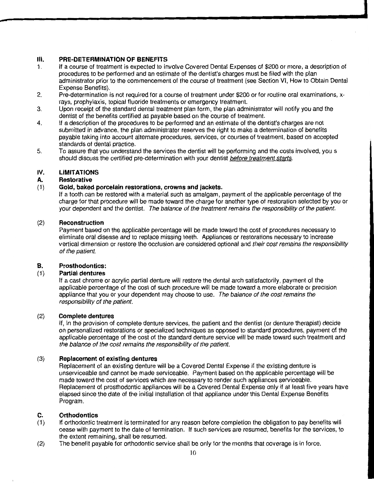## **Ill. PRE-DETERMINATION OF BENEFITS**

- 1. If a course of treatment is expected to involve Covered Dental Expenses of \$200 or more, a description of procedures to be performed and an estimate of the dentist's charges must be filed with the plan administrator prior to the commencement of the course of treatment (see Section VI, How to Obtain Dental Expense Benefits).
- 2. Pre-determination is not required for a course of treatment under \$200 or for routine oral examinations, xrays, prophylaxis, topical fluoride treatments or emergency treatment.
- 3. Upon receipt of the standard dental treatment plan form, the plan administrator will notify you and the dentist of the benefits certified as payable based on the course of treatment.
- 4. If a description of the procedures to be performed and an estimate of the dentist's charges are not submitted in advance, the plan administrator reserves the right to make a determination of benefits payable taking into account alternate procedures, services, or courses of treatment, based on accepted standards of dental practice.
- 5. To assure that you understand the services the dentist will be performing and the costs involved, you s should discuss the certified pre-determination with your dentist before treatment starts.

## IV. **LIMITATIONS**

## **A. Restorative**

## (1) **Gold, baked porcelain restorations, crowns and jackets.**

If a tooth can be restored with a material such as amalgam, payment of the applicable percentage of the charge for that procedure will be made toward the charge for another type of restoration selected by you or your dependent and the dentist. The balance of the treatment remains the responsibility of the patient.

## (2) **Reconstruction**

Payment based on the applicable percentage will be made toward the cost of procedures necessary to eliminate oral disease and to replace missing teeth. Appliances or restorations necessary to increase vertical dimension or restore the occlusion are considered optional and their cost remains the responsibility of the patient.

## **B. Prosthodontics:**

## (1) **Partial dentures**

If a cast chrome or acrylic partial denture will restore the dental arch satisfactorily, payment of the applicable percentage of the cost of such procedure will be made toward a more elaborate or precision appliance that you or your dependent may choose to use. The balance of the cost remains the responsibility of the patient.

## (2) **Complete dentures**

If, in the provision of complete denture services, the patient and the dentist (or denture therapist) decide on personalized restorations or specialized techniques as opposed to standard procedures, payment of the applicable percentage of the cost of the standard denture service will be made toward such treatment and the balance of the cost remains the responsibility of the patient.

## (3) **Replacement of existing dentures**

Replacement of an existing denture will be a Covered Dental Expense if the existing denture is unserviceable and cannot be made serviceable. Payment based on the applicable percentage will be made toward the cost of services which are necessary to render such appliances serviceable. Replacement of prosthodontic appliances will be a Covered Dental Expense only if at least five years have elapsed since the date of the initial installation of that appliance under this Dental Expense Benefits Program.

## **C. Orthodontics**

- (1) If orthodontic treatment is terminated for any reason before completion the obligation to pay benefits will cease with payment to the date of termination. If such services are resumed, benefits for the services, to the extent remaining, shall be resumed.
- (2) The benefit payable for orthodontic service shall be only for the months that coverage is in force.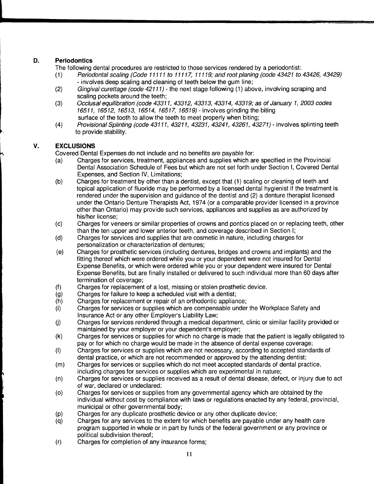## **D. Periodontics**

The following dental procedures are restricted to those services rendered by a periodontist:

- (1) Periodontal scaling (Code 11111 to 11117, 11119; and root planing (code 43421 to 43426, 43429) -involves deep scaling and cleaning of teeth below the gum line;
- (2) Gingival curettage (code  $42111$ ) the next stage following (1) above, involving scraping and scaling pockets around the teeth;
- (3) Occlusal equilibration (code 43311, 43312, 43313, 43314, 43319; as of January 1, 2003 codes 16511, 16512, 16513, 16514, 16517, 16519)- involves grinding the biting surface of the tooth to allow the teeth to meet properly when biting;
- (4) Provisional Splinting (code 43111, 43211, 43231, 43241, 43261, 43271)- involves splinting teeth to provide stability.

## **V. EXCLUSIONS**

Covered Dental Expenses do not include and no benefits are payable for:

- (a) Charges for services, treatment, appliances and supplies which are specified in the Provincial Dental Association Schedule of Fees but which are not set forth under Section I, Covered Dental Expenses, and Section IV, Limitations;
- (b) Charges for treatment by other than a dentist, except that (1) scaling or cleaning of teeth and topical application of fluoride may be performed by a licensed dental hygienist if the treatment is rendered under the supervision and guidance of the dentist and (2) a denture therapist licensed under the Ontario Denture Therapists Act, 1974 (or a comparable provider licensed in a province other than Ontario) may provide such services, appliances and supplies as are authorized by his/her license;
- (c) Charges for veneers or similar properties of crowns and panties placed on or replacing teeth, other than the ten upper and lower anterior teeth, and coverage described in Section I;
- (d) Charges for services and supplies that are cosmetic in nature, including charges for personalization or characterization of dentures;
- (e) Charges for prosthetic services (including dentures, bridges and crowns and implants) and the fitting thereof which were ordered while you or your dependent were not insured for Dental Expense Benefits, or which were ordered while you or your dependent were insured for Dental Expense Benefits, but are finally installed or delivered to such individual more than 60 days after termination of coverage;
- (f) Charges for replacement of a lost, missing or stolen prosthetic device.
- (g) Charges for failure to keep a scheduled visit with a dentist;
- (h) Charges for replacement or repair of an orthodontic appliance;
- (i) Charges for services or supplies which are compensable under the Workplace Safety and Insurance Act or any other Employer's Liability Law;
- (j) Charges for services rendered through a medical department, clinic or similar facility provided or maintained by your employer or your dependent's employer;
- (k) Charges for services or supplies for which no charge is made that the patient is legally obligated to pay or for which no charge would be made in the absence of dental expense coverage;
- (I) Charges for services or supplies which are not necessary, according to accepted standards of dental practice, or which are not recommended or approved by the attending dentist;
- (m) Charges for services or supplies which do not meet accepted standards of dental practice, including charges for services or supplies which are experimental in nature;
- (n) Charges for services or supplies received as a result of dental disease, defect, or injury due to act of war, declared or undeclared;
- (o) Charges for services or supplies from any governmental agency which are obtained by the individual without cost by compliance with laws or regulations enacted by any federal, provincial, municipal or other governmental body;
- (p) Charges for any duplicate prosthetic device or any other duplicate device;
- (q) Charges for any services to the extent for which benefits are payable under any health care program supported in whole or in part by funds of the federal government or any province or political subdivision thereof;
- (r) Charges for completion of any insurance forms;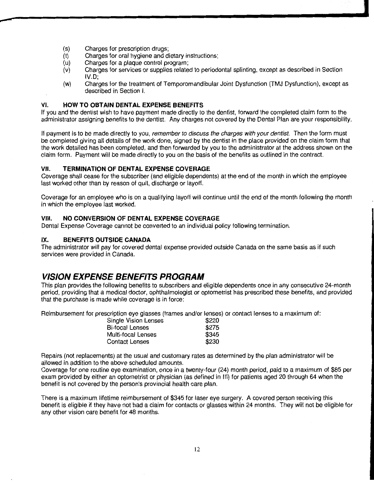(s) Charges for prescription drugs;

---

- (t) Charges for oral hygiene and dietary instructions;
- (u) Charges for a plaque control program;
- (v) Charges for services or supplies related to periodontal splinting, except as described in Section IV.D;
- (w) Charges for the treatment of Temporomandibular Joint Dysfunction (TMJ Dysfunction), except as described in Section I.

**International Contract** 

## VI. **HOW TO OBTAIN DENTAL EXPENSE BENEFITS**

If you and the dentist wish to have payment made directly to the dentist, forward the completed claim form to the administrator assigning benefits to the dentist. Any charges not covered by the Dental Plan are your responsibility.

If payment is to be made directly to you, remember to discuss the charges with your dentist. Then the form must be completed giving all details of the work done, signed by the dentist in the place provided on the claim form that the work detailed has been completed, and then forwarded by you to the administrator at the address shown on the claim form. Payment will be made directly to you on the basis of the benefits as outlined in the contract.

## VII. **TERMINATION OF DENTAL EXPENSE COVERAGE**

Coverage shall cease for the subscriber (and eligible dependents) at the end of the month in which the employee last worked other than by reason of quit, discharge or layoff.

Coverage for an employee who is on a qualifying layoff will continue until the end of the month following the month in which the employee last worked.

#### VIII. **NO CONVERSION OF DENTAL EXPENSE COVERAGE**

Dental Expense Coverage cannot be converted to an individual policy following termination.

## IX. **BENEFITS OUTSIDE CANADA**

The administrator will pay for covered dental expense provided outside Canada on the same basis as if such services were provided in Canada.

## **VISION EXPENSE BENEFITS PROGRAM**

This plan provides the following benefits to subscribers and eligible dependents once in any consecutive 24-month period, providing that a medical doctor, ophthalmologist or optometrist has prescribed these benefits, and provided that the purchase is made while coverage is in force:

Reimbursement for prescription eye glasses (frames and/or lenses) or contact lenses to a maximum of:

| Single Vision Lenses | \$220 |
|----------------------|-------|
| Bi-focal Lenses      | \$275 |
| Multi-focal Lenses   | \$345 |
| Contact Lenses       | \$230 |

Repairs (not replacements) at the usual and customary rates as determined by the plan administrator will be allowed in addition to the above scheduled amounts.

Coverage for one routine eye examination, once in a twenty-four (24) month period, paid to a maximum of \$85 per exam provided by either an optometrist or physician (as defined in Ill) for patients aged 20 through 64 when the benefit is not covered by the person's provincial health care plan.

There is a maximum lifetime reimbursement of \$345 for laser eye surgery. A covered person receiving this benefit is eligible if they have not had a claim for contacts or glasses within 24 months. They will not be eligible for any other vision care benefit for 48 months.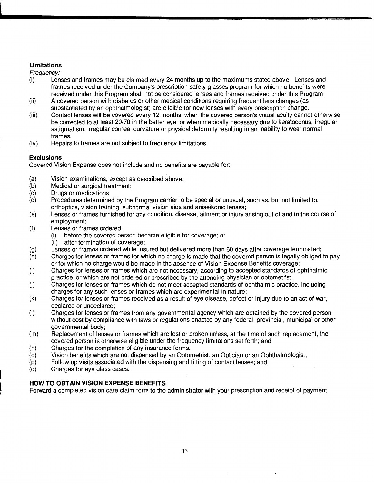## **Limitations**

Frequency:

- (i) Lenses and frames may be claimed every 24 months up to the maximums stated above. Lenses and frames received under the Company's prescription safety glasses program for which no benefits were received under this Program shall not be considered lenses and frames received under this Program.
- (ii) A covered person with diabetes or other medical conditions requiring frequent lens changes (as substantiated by an ophthalmologist) are eligible for new lenses with every prescription change.
- (iii) Contact lenses will be covered every 12 months, when the covered person's visual acuity cannot otherwise be corrected to at least 20/70 in the better eye, or when medically necessary due to keratoconus, irregular astigmatism, irregular corneal curvature or physical deformity resulting in an inability to wear normal frames.
- (iv) Repairs to frames are not subject to frequency limitations.

## **Exclusions**

Covered Vision Expense does not include and no benefits are payable for:

- (a) Vision examinations, except as described above;
- (b) Medical or surgical treatment;
- (c) Drugs or medications;
- (d) Procedures determined by the Program carrier to be special or unusual, such as, but not limited to, orthoptics, vision training, subnormal vision aids and aniseikonic lenses;
- (e) Lenses or frames furnished for any condition, disease, ailment or injury arising out of and in the course of employment;
- (f) Lenses or frames ordered:
	- (i) before the covered person became eligible for coverage; or
	- (ii) after termination of coverage;
- (g) Lenses or frames ordered while insured but delivered more than 60 days after coverage terminated;
- (h) Charges for lenses or frames for which no charge is made that the covered person is legally obliged to pay or for which no charge would be made in the absence of Vision Expense Benefits coverage;
- (i) Charges for lenses or frames which are not necessary, according to accepted standards of ophthalmic practice, or which are not ordered or prescribed by the attending physician or optometrist;
- (j) Charges for lenses or frames which do not meet accepted standards of ophthalmic practice, including charges for any such lenses or frames which are experimental in nature;
- (k) Charges for lenses or frames received as a result of eye disease, defect or injury due to an act of war, declared or undeclared;
- (I) Charges for lenses or frames from any governmental agency which are obtained by the covered person without cost by compliance with laws or regulations enacted by any federal, provincial, municipal or other governmental body;
- (m) Replacement of lenses or frames which are lost or broken unless, at the time of such replacement, the covered person is otherwise eligible under the frequency limitations set forth; and
- (n) Charges for the completion of any insurance forms.
- (o) Vision benefits which are not dispensed by an Optometrist, an Optician or an Ophthalmologist;
- (p) Follow up visits associated with the dispensing and fitting of contact lenses; and
- (q) Charges for eye glass cases.

## **HOW TO OBTAIN VISION EXPENSE BENEFITS**

Forward a completed vision care claim form to the administrator with your prescription and receipt of payment.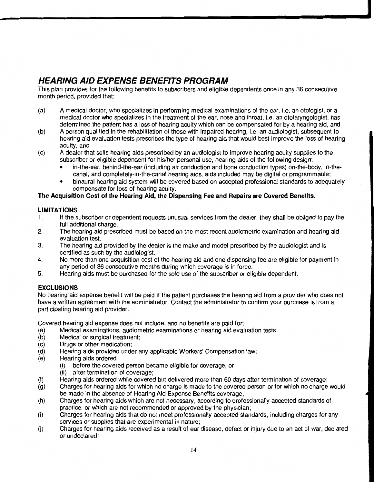## **HEARING AID EXPENSE BENEFITS PROGRAM**

This plan provides for the following benefits to subscribers and eligible dependents once in any 36 consecutive month period, provided that:

- (a) A medical doctor, who specializes in performing medical examinations of the ear, i.e. an otologist, or a medical doctor who specializes in the treatment of the ear, nose and throat, i.e. an otolaryngologist, has determined the patient has a loss of hearing acuity which can be compensated for by a hearing aid, and
- (b) A person qualified in the rehabilitation of those with impaired hearing, i.e. an audiologist, subsequent to hearing aid evaluation tests prescribes the type of hearing aid that would best improve the loss of hearing acuity, and
- (c) A dealer that sells hearing aids prescribed by an audiologist to improve hearing acuity supplies to the subscriber or eligible dependent for his/her personal use, hearing aids of the following design:
	- in-the-ear, behind-the-ear (including air conduction and bone conduction types) on-the-body, in-thecanal, and completely-in-the-canal hearing aids, aids included may be digital or programmable;
	- binaural hearing aid system will be covered based on accepted professional standards to adequately compensate for loss of hearing acuity.

## **The Acquisition Cost of the Hearing Aid, the Dispensing Fee and Repairs are Covered Benefits.**

## **LIMITATIONS**

- 1. If the subscriber or dependent requests unusual services from the dealer, they shall be obliged to pay the full additional charge.
- 2. The hearing aid prescribed must be based on the most recent audiometric examination and hearing aid evaluation test.
- 3. The hearing aid provided by the dealer is the make and model prescribed by the audiologist and is certified as such by the audiologist.
- 4. No more than one acquisition cost of the hearing aid and one dispensing fee are eligible for payment in any period of 36 consecutive months during which coverage is in force.
- 5. Hearing aids must be purchased for the sole use of the subscriber or eligible dependent.

## **EXCLUSIONS**

No hearing aid expense benefit will be paid if the patient purchases the hearing aid from a provider who does not have a written agreement with the administrator. Contact the administrator to confirm your purchase is from a participating hearing aid provider.

Covered hearing aid expense does not include, and no benefits are paid for:

- (a) Medical examinations, audiometric examinations or hearing aid evaluation tests;
- (b) Medical or surgical treatment;
- (c) Drugs or other medication;
- (d) Hearing aids provided under any applicable Workers' Compensation law;
- (e) Hearing aids ordered
	- (i) before the covered person became eligible for coverage, or
	- (ii) after termination of coverage;
- (f) Hearing aids ordered while covered but delivered more than 60 days after termination of coverage;
- (g) Charges for hearing aids for which no charge is made to the covered person or for which no charge would be made in the absence of Hearing Aid Expense Benefits coverage;
- (h) Charges for hearing aids which are not necessary, according to professionally accepted standards of practice, or which are not recommended or approved by the physician;
- (i) Charges for hearing aids that do not meet professionally accepted standards, including charges for any services or supplies that are experimental in nature;
- (j) Charges for hearing aids received as a result of ear disease, defect or injury due to an act of war, declared or undeclared;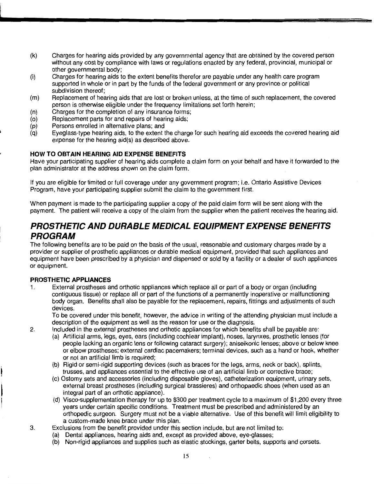- (k) Charges for hearing aids provided by any governmental agency that are obtained by the covered person without any cost by compliance with laws or regulations enacted by any federal, provincial, municipal or other governmental body;
- (I) Charges for hearing aids to the extent benefits therefor are payable under any health care program supported in whole or in part by the funds of the federal government or any province or political subdivision thereof;
- (m) Replacement of hearing aids that are lost or broken unless, at the time of such replacement, the covered person is otherwise eligible under the frequency limitations set forth herein;
- (n) Charges for the completion of any insurance forms;
- (o) Replacement parts for and repairs of hearing aids;
- (p) Persons enrolled in alternative plans; and
- (q) Eyeglass-type hearing aids, to the extent the charge for such hearing aid exceeds the covered hearing aid expense for the hearing aid(s) as described above.

## **HOW TO OBTAIN HEARING AID EXPENSE BENEFITS**

Have your participating supplier of hearing aids complete a claim form on your behalf and have it forwarded to the plan administrator at the address shown on the claim form.

If you are eligible for limited or full coverage under any government program; i.e. Ontario Assistive Devices Program, have your participating supplier submit the claim to the government first.

When payment is made to the participating supplier a copy of the paid claim form will be sent along with the payment. The patient will receive a copy of the claim from the supplier when the patient receives the hearing aid.

## **PROSTHETIC AND DURABLE MEDICAL EQUIPMENT EXPENSE BENEFITS PROGRAM**

The following benefits are to be paid on the basis of the usual, reasonable and customary charges made by a provider or supplier of prosthetic appliances or durable medical equipment, provided that such appliances and equipment have been prescribed by a physician and dispensed or sold by a facility or a dealer of such appliances or equipment.

## **PROSTHETIC APPLIANCES**

1. External prostheses and orthotic appliances which replace all or part of a body or organ (including contiguous tissue) or replace all or part of the functions of a permanently inoperative or malfunctioning body organ. Benefits shall also be payable for the replacement, repairs, fittings and adjustments of such devices.

To be covered under this benefit, however, the advice in writing of the attending physician must include a description of the equipment as well as the reason for use or the diagnosis.

2. Included in the external prostheses and orthotic appliances for which benefits shall be payable are:

- (a) Artificial arms, legs, eyes, ears (including cochlear implant), noses, larynxes, prosthetic lenses (for people lacking an organic lens or following cataract surgery); aniseikonic lenses; above or below knee or elbow prostheses; external cardiac pacemakers; terminal devices, such as a hand or hook, whether or not an artificial limb is required;
- (b) Rigid or semi-rigid supporting devices (such as braces for the legs, arms, neck or back), splints, trusses, and appliances essential to the effective use of an artificial limb or corrective brace;
- (c) Ostomy sets and accessories (including disposable gloves), catheterization equipment, urinary sets, external breast prostheses (including surgical brassieres) and orthopaedic shoes (when used as an integral part of an orthotic appliance).
- (d) Visco-supplementation therapy for up to \$300 per treatment cycle to a maximum of \$1,200 every three years under certain specific conditions. Treatment must be prescribed and administered by an orthopedic surgeon. Surgery must not be a viable alternative. Use of this benefit will limit eligibility to a custom-made knee brace under this plan.
- 3. Exclusions from the benefit provided under this section include, but are not limited to:
	- (a) Dental appliances, hearing aids and, except as provided above, eye-glasses;
	- (b) Non-rigid appliances and supplies such as elastic stockings, garter belts, supports and corsets.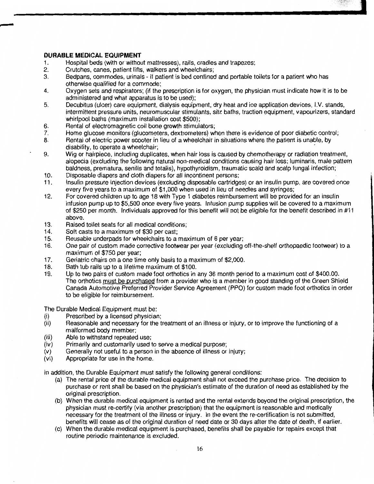## **DURABLE MEDICAL EQUIPMENT**

- 1. Hospital beds (with or without mattresses), rails, cradles and trapezes;
- 2. Crutches, canes, patient lifts, walkers and wheelchairs;
- Bedpans, commodes, urinals if patient is bed confined and portable toilets for a patient who has otherwise qualified for a commode;
- 4. Oxygen sets and respirators; (if the prescription is for oxygen, the physician must indicate how it is to be administered and what apparatus is to be used);
- 5. Decubitus (ulcer) care equipment, dialysis equipment, dry heat and ice application devices, I.V. stands, intermittent pressure units, neuromuscular stimulants, sitz baths, traction equipment, vapourizers, standard whirlpool baths (maximum installation cost \$500);

**Includes** 

- 6. Rental of electromagnetic coil bone growth stimulators;<br>7. Home glucose monitors (glucometers, dextrometers) wh
- Home glucose monitors (glucometers, dextrometers) when there is evidence of poor diabetic control;
- 8. Rental of electric power scooter in lieu of a wheelchair in situations where the patient is unable, by disability, to operate a wheelchair;
- 9. Wig or hairpiece, including duplicates, when hair loss is caused by chemotherapy or radiation treatment, alopecia (excluding the following natural non-medical conditions causing hair loss; luminaris, male pattern baldness, prematura, senilis and totalis), hypothyroidism, traumatic scald and scalp fungal infection;
- 10. Disposable diapers and cloth diapers for all incontinent persons;
- 11. Insulin pressure injection devices (excluding disposable cartridges) or an insulin pump, are covered once every five years to a maximum of \$1,000 when used in lieu of needles and syringes;
- 12. For covered children up to age 18 with Type 1 diabetes reimbursement will be provided for an insulin infusion pump up to \$5,500 once every five years. Infusion pump supplies will be covered to a maximum of \$250 per month. Individuals approved for this benefit will not be eligible for the benefit described in #11 above.
- 13. Raised toilet seats for all medical conditions;<br>14. Soft casts to a maximum of \$30 per cast;
- 14. Soft casts to a maximum of \$30 per cast;<br>15. Reusable underpads for wheelchairs to a r
- 15. Beusable underpads for wheelchairs to a maximum of 6 per year;<br>16. One pair of custom made corrective footwear per year (excluding)
- 16. One pair of custom made corrective footwear per year (excluding off-the-shelf orthopaedic footwear) to a maximum of \$750 per year;
- 17. Geriatric chairs on a one time only basis to a maximum of \$2,000.<br>18. Bath tub rails up to a lifetime maximum of \$100.
- 18. Bath tub rails up to a lifetime maximum of \$100.<br>19. Up to two pairs of custom made foot orthotics in a
- 19. Up to two pairs of custom made foot orthotics in any 36 month period to a maximum cost of \$400.00. The orthotics must be purchased from a provider who is a member in good standing of the Green Shield Canada Automotive Preferred Provider Service Agreement (PPO) for custom made foot orthotics in order to be eligible for reimbursement.

The Durable Medical Equipment must be:

- (i) Prescribed by a licensed physician;<br>(ii) Reasonable and necessary for the ti
- Reasonable and necessary for the treatment of an illness or injury, or to improve the functioning of a malformed body member;
- (iii) Able to withstand repeated use;<br>(iv) Primarily and customarily used t
- Primarily and customarily used to serve a medical purpose;
- (v) Generally not useful to a person in the absence of illness or injury;
- (vi) Appropriate for use in the home.

In addition, the Durable Equipment must satisfy the following general conditions:

- (a) The rental price of the durable medical equipment shall not exceed the purchase price. The decision to purchase or rent shall be based on the physician's estimate of the duration of need as established by the original prescription.
- (b) When the durable medical equipment is rented and the rental extends beyond the original prescription, the physician must re-certify (via another prescription) that the equipment is reasonable and medically necessary for the treatment of the illness or injury. In the event the re-certification is not submitted, benefits will cease as of the original duration of need date or 30 days after the date of death, if earlier.
- (c) When the durable medical equipment is purchased, benefits shall be payable for repairs except that routine periodic maintenance is excluded.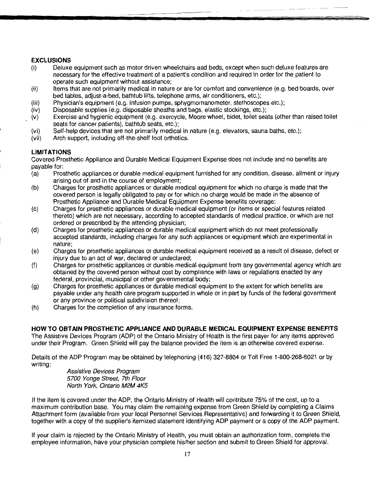## **EXCLUSIONS**

- (i) Deluxe equipment such as motor driven wheelchairs aod beds, except when such deluxe features are necessary for the effective treatment of a patient's condition and required in order for the patient to operate such equipment without assistance;
- (ii) Items that are not primarily medical in nature or are for comfort and convenience (e.g. bed boards, over bed tables, adjust-a-bed, bathtub lifts, telephone arms, air conditioners, etc.);
- (iii) Physician's equipment (e.g. infusion pumps, sphygmomanometer, stethoscopes etc.);
- (iv) Disposable supplies (e.g. disposable sheaths and bags, elastic stockings, etc.);
- (v) Exercise and hygienic equipment (e.g. exercycle, Moore wheel, bidet, toilet seats (other than raised toilet seats for cancer patients), bathtub seats, etc.);
- (vi) Self-help devices that are not primarily medical in nature (e.g. elevators, sauna baths, etc.);
- (vii) Arch support, including off-the-shelf foot orthotics.

## **LIMITATIONS**

Covered Prosthetic Appliance and Durable Medical Equipment Expense does not include and no benefits are payable for:

- (a) Prosthetic appliances or durable medical equipment furnished for any condition, disease, ailment or injury arising out of and in the course of employment;
- (b) Charges for prosthetic appliances or durable medical equipment for which no charge is made that the covered person is legally obligated to pay or for which no charge would be made in the absence of Prosthetic Appliance and Durable Medical Equipment Expense benefits coverage;
- (c) Charges for prosthetic appliances or durable medical equipment (or items or special features related thereto) which are not necessary, according to accepted standards of medical practice, or which are not ordered or prescribed by the attending physician;
- (d) Charges for prosthetic appliances or durable medical equipment which do not meet professionally accepted standards, including charges for any such appliances or equipment which are experimental in nature;
- (e) Charges for prosthetic appliances or durable medical equipment received as a result of disease, defect or injury due to an act of war, declared or undeclared;
- (f) Charges for prosthetic appliances or durable medical equipment from any governmental agency which are obtained by the covered person without cost by compliance with laws or regulations enacted by any federal, provincial, municipal or other governmental body;
- (g) Charges for prosthetic appliances or durable medical equipment to the extent for which benefits are payable under any health care program supported in whole or in part by funds of the federal government or any province or political subdivision thereof;
- (h) Charges for the completion of any insurance forms.

## **HOW TO OBTAIN PROSTHETIC APPLIANCE AND DURABLE MEDICAL EQUIPMENT EXPENSE BENEFITS**

The Assistive Devices Program (ADP) of the Ontario Ministry of Health is the first payer for any items approved under their Program. Green Shield will pay the balance provided the item is an otherwise covered expense.

Details of the ADP Program may be obtained by telephoning ( 416) 327-8804 or Toll Free 1-800-268-6021 or by writing:

> Assistive Devices Program 5700 Yonge Street, 7th Floor North York, Ontario M2M 4K5

If the item is covered under the ADP, the Ontario Ministry of Health will contribute 75% of the cost, up to a maximum contribution base. You may claim the remaining expense from Green Shield by completing a Claims Attachment form (available from your local Personnel Services Representative) and forwarding it to Green Shield, together with a copy of the supplier's itemized statement identifying ADP payment or a copy of the ADP payment.

If your claim is rejected by the Ontario Ministry of Health, you must obtain an authorization form, complete the employee information, have your physician complete his/her section and submit to Green Shield for approval.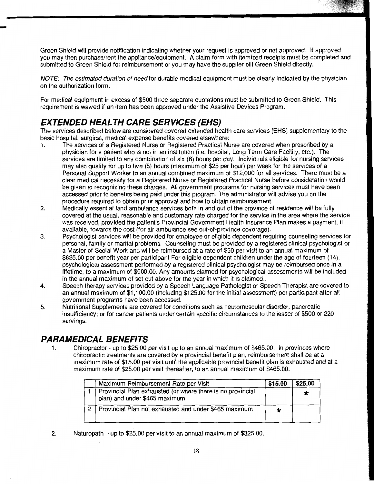Green Shield will provide notification indicating whether your request is approved or not approved. If approved you may then purchase/rent the appliance/equipment. A claim form with itemized receipts must be completed and submitted to Green Shield for reimbursement or you may have the supplier bill Green Shield directly.

NOTE: The estimated duration of need for durable medical equipment must be clearly indicated by the physician on the authorization form.

For medical equipment in excess of \$500 three separate quotations must be submitted to Green Shield. This requirement is waived if an item has been approved under the Assistive Devices Program.

## **EXTENDED HEALTH CARE SERVICES (EHS)**

-

The services described below are considered covered extended health care services (EHS) supplementary to the basic hospital, surgical, medical expense benefits covered elsewhere:

- 1 . The services of a Registered Nurse or Registered Practical Nurse are covered when prescribed by a physician for a patient who is not in an institution (i.e. hospital, Long Term Care Facility, etc.). The services are limited to any combination of six (6) hours per day. Individuals eligible for nursing services may also qualify for up to five {5) hours (maximum of \$25 per hour) per week for the services of a Personal Support Worker to an annual combined maximum of \$12,000 for all services. There must be a clear medical necessity for a Registered Nurse or Registered Practical Nurse before consideration would be given to recognizing these charges. All government programs for nursing services must have been accessed prior to benefits being paid under this program. The administrator will advise you on the procedure required to obtain prior approval and how to obtain reimbursement.
- 2. Medically essential land ambulance services both in and out of the province of residence will be fully covered at the usual, reasonable and customary rate charged for the service in the area where the service was received, provided the patient's Provincial Government Health Insurance Plan makes a payment, if available, towards the cost (for air ambulance see out-of-province coverage).
- 3. Psychologist services will be provided for employee or eligible dependent requiring counseling services for personal, family or marital problems. Counseling must be provided by a registered clinical psychologist or a Master of Social Work and will be reimbursed at a rate of \$50 per visit to an annual maximum of \$625.00 per benefit year per participant For eligible dependent children under the age of fourteen (14), psychological assessment performed by a registered clinical psychologist may be reimbursed once in a lifetime, to a maximum of \$500.00. Any amounts claimed for psychological assessments will be included in the annual maximum of set out above for the year in which it is claimed..
- 4. Speech therapy services provided by a Speech Language Pathologist or Speech Therapist are covered to an annual maximum of \$1,100.00 (including \$125.00 for the initial assessment) per participant after all government programs have been accessed.
- 5. Nutritional Supplements are covered for conditions such as neuromuscular disorder, pancreatic insufficiency; or for cancer patients under certain specific circumstances to the lesser of \$500 or 220 servings.

## **PARAMEDICAL BENEFITS**

1. Chiropractor- up to \$25.00 per visit up to an annual maximum of \$465.00. In provinces where chiropractic treatments are covered by a provincial benefit plan, reimbursement shall be at a maximum rate of \$15.00 per visit until the applicable provincial benefit plan is exhausted and at a maximum rate of \$25.00 per visit thereafter, to an annual maximum of \$465.00.

| Maximum Reimbursement Rate per Visit                                                        | \$15.00 | \$25.00 |
|---------------------------------------------------------------------------------------------|---------|---------|
| Provincial Plan exhausted (or where there is no provincial<br>plan) and under \$465 maximum |         | 75      |
| Provincial Plan not exhausted and under \$465 maximum                                       |         |         |

2. Naturopath – up to  $$25.00$  per visit to an annual maximum of  $$325.00$ .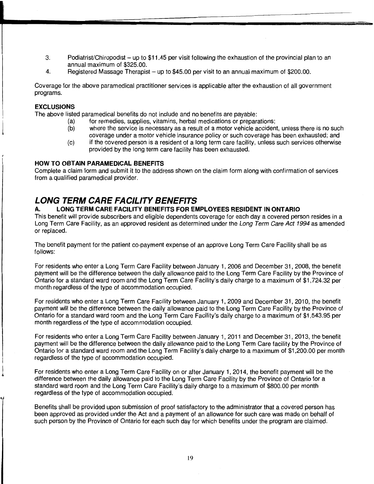- 3. Podiatrist/Chiropodist- up to \$11.45 per visit following the exhaustion of the provincial plan to an annual maximum of \$325.00.
- 4. Registered Massage Therapist- up to \$45.00 per visit to an annual maximum of \$200.00.

Coverage for the above paramedical practitioner services is applicable after the exhaustion of all government programs.

## **EXCLUSIONS**

 $\frac{1}{2}$ 

The above listed paramedical benefits do not include and no benefits are payable:

- (a) for remedies, supplies, vitamins, herbal medications or preparations;
- (b) where the service is necessary as a result of a motor vehicle accident, unless there is no such coverage under a motor vehicle insurance policy or such coverage has been exhausted; and
- (c) if the covered person is a resident of a long term care facility, unless such services otherwise provided by the long term care facility has been exhausted.

## **HOW TO OBTAIN PARAMEDICAL BENEFITS**

Complete a claim form and submit it to the address shown on the claim form along with confirmation of services from a qualified paramedical provider.

## **LONG TERM CARE FACILITY BENEFITS**

## **A. LONG TERM CARE FACILITY BENEFITS FOR EMPLOYEES RESIDENT IN ONTARIO**

This benefit will provide subscribers and eligible dependents coverage for each day a covered person resides in a Long Term Care Facility, as an approved resident as determined under the Long Term Care Act 1994 as amended or replaced.

The benefit payment for the patient co-payment expense of an approve Long Term Care Facility shall be as follows:

For residents who enter a Long Term Care Facility between January 1, 2006 and December 31, 2008, the benefit payment will be the difference between the daily allowance paid to the Long Term Care Facility by the Province of Ontario for a standard ward room and the Long Term Care Facility's daily charge *to* a maximum of \$1,724.32 per month regardless of the type of accommodation occupied.

For residents who enter a Long Term Care Facility between January 1, 2009 and December 31, 2010, the benefit payment will be the difference between the daily allowance paid *to* the Long Term Care Facility by the Province of Ontario for a standard ward room and the Long Term Care Facility's daily charge to a maximum of \$1,543.95 per month regardless of the type of accommodation occupied.

For residents who enter a Long Term Care Facility between January 1, 2011 and December 31, 2013, the benefit payment will be the difference between the daily allowance paid to the Long Term Care facility by the Province of Ontario for a standard ward room and the Long Term Facility's daily charge to a maximum of \$1,200.00 per month regardless of the type of accommodation occupied.

For residents who enter a Long Term Care Facility on or after January 1, 2014, the benefit payment will be the difference between the daily allowance paid to the Long Term Care Facility by the Province of Ontario for a standard ward room and the Long Term Care Facility's daily charge to a maximum of \$800.00 per month regardless of the type of accommodation occupied.

Benefits shall be provided upon submission of proof satisfactory to the administrator that a covered person has been approved as provided under the Act and a payment of an allowance for such care was made on behalf of such person by the Province of Ontario for each such day for which benefits under the program are claimed.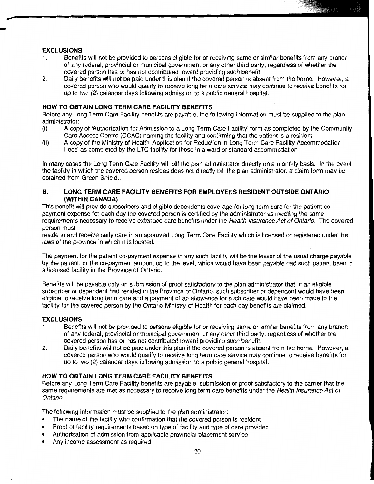## **EXCLUSIONS**

-

- 1. Benefits will not be provided to persons eligible for or receiving same or similar benefits from any branch of any federal, provincial or municipal government or any other third party, regardless of whether the covered person has or has not contributed toward providing such benefit.
- 2. Daily benefits will not be paid under this plan if the covered person is absent from the home. However, a covered person who would qualify to receive long term care service may continue to receive benefits for up to two (2) calendar days following admission to a public general hospital.

## **HOW TO OBTAIN LONG TERM CARE FACILITY BENEFITS**

Before any Long Term Care Facility benefits are payable, the following information must be supplied to the plan administrator:

- (i) A copy of 'Authorization for Admission to a Long Term Care Facility' form as completed by the Community Care Access Centre (CCAC) naming the facility and confirming that the patient is a resident
- (ii) A copy of the Ministry of Health 'Application for Reduction in Long Term Care Facility Accommodation Fees' as completed by the LTC facility for those in a ward or standard accommodation

In many cases the Long Term Care Facility will bill the plan administrator directly on a monthly basis. In the event the facility in which the covered person resides does not directly bill the plan administrator, a claim form may be obtained from Green Shield..

## **B. LONG TERM CARE FACILITY BENEFITS FOR EMPLOYEES RESIDENT OUTSIDE ONTARIO (WITHIN CANADA)**

This benefit will provide subscribers and eligible dependents coverage for long term care for the patient copayment expense for each day the covered person is certified by the administrator as meeting the same requirements necessary to receive extended care benefits under the Health Insurance Act of Ontario. The covered person must

reside in and receive daily care in an approved Long Term Care Facility which is licensed or registered under the laws of the province in which it is located.

The payment for the patient co-payment expense in any such facility will be the lesser of the usual charge payable by the patient, or the co-payment amount up to the level, which would have been payable had such patient been in a licensed facility in the Province of Ontario.

Benefits will be payable only on submission of proof satisfactory to the plan administrator that, if an eligible subscriber or dependent had resided in the Province of Ontario, such subscriber or dependent would have been eligible to receive long term care and a payment of an allowance for such care would have been made to the facility for the covered person by the Ontario Ministry of Health for each day benefits are claimed.

## **EXCLUSIONS**

- 1. Benefits will not be provided to persons eligible for or receiving same or similar benefits from any branch of any federal, provincial or municipal government or any other third party, regardless of whether the covered person has or has not contributed toward providing such benefit.
- 2. Daily benefits will not be paid under this plan if the covered person is absent from the home. However, a covered person who would qualify to receive long term care service may continue to receive benefits for up to two (2) calendar days following admission to a public general hospital.

## **HOW TO OBTAIN LONG TERM CARE FACILITY BENEFITS**

Before any Long Term Care Facility benefits are payable, submission of proof satisfactory to the carrier that the same requirements are met as necessary to receive long term care benefits under the Health Insurance Act of Ontario.

The following information must be supplied to the plan administrator:

- The name of the facility with confirmation that the covered person is resident
- Proof of facility requirements based on type of facility and type of care provided
- Authorization of admission from applicable provincial placement service
- Any income assessment as required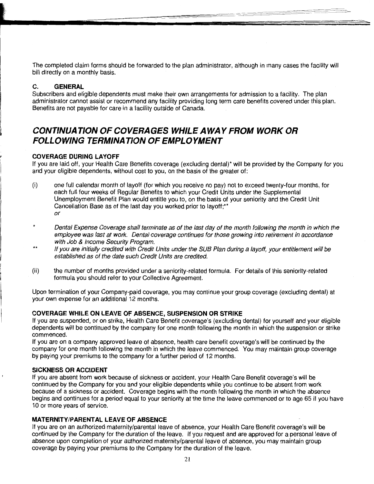The completed claim forms should be forwarded to the plan administrator, although in many cases the facility will bill directly on a monthly basis.

-~-

## **C. GENERAL**

Subscribers and eligible dependents must make their own arrangements for admission to a facility. The plan administrator cannot assist or recommend any facility providing long term care benefits covered under this plan. Benefits are not payable for care in a facility outside of Canada.

## **CONTINUATION OF COVERAGES WHILE AWAY FROM WORK OR FOLLOWING TERMINATION OF EMPLOYMENT**

## <sup>~</sup>**COVERAGE DURING LAYOFF**

If you are laid off, your Health Care Benefits coverage (excluding dental)\* will be provided by the Company for you and your eligible dependents, without cost to you, on the basis of the greater of:

- (i) one full calendar month of layoff (for which you receive no pay) not to exceed twenty-four months, for each full four weeks of Regular Benefits to which your Credit Units under the Supplemental Unemployment Benefit Plan would entitle you to, on the basis of your seniority and the Credit Unit Cancellation Base as of the last day you worked prior to layoff;\*\* or
- \* Dental Expense Coverage shall terminate as of the last day of the month following the month in which the employee was last at work. Dental coverage continues for those growing into retirement in accordance with Job & Income Security Program.
- \*\* If you are initially credited with Credit Units under the SUB Plan during a layoff, your entitlement will be established as of the date such Credit Units are credited.
- (ii) the number of months provided under a seniority-related formula. For details of this seniority-related formula you should refer to your Collective Agreement.

Upon termination of your Company-paid coverage, you may continue your group coverage (excluding dental) at your own expense for an additional 12 months.

## **COVERAGE WHILE ON LEAVE OF ABSENCE, SUSPENSION OR STRIKE**

If you are suspended, or on strike, Health Care Benefit coverage's (excluding dental) for yourself and your eligible dependents will be continued by the company for one month following the month in which the suspension or strike commenced.

If you are on a company approved leave of absence, health care benefit coverage's will be continued by the company for one month following the month in which the leave commenced. You may maintain group coverage by paying your premiums to the company for a further period of 12 months.

## **SICKNESS OR ACCIDENT**

If you are absent from work because of sickness or accident, your Health Care Benefit coverage's will be continued by the Company for you and your eligible dependents while you continue to be absent from work because of a sickness or accident. Coverage begins with the month following the month in which the absence begins and continues for a period equal to your seniority at the time the leave commenced or to age 65 if you have 10 or more years of service.

## **MATERNITY/PARENTAL LEAVE OF ABSENCE**

If you are on an authorized maternity/parental leave of absence, your Health Care Benefit coverage's will be continued by the Company for the duration of the leave. If you request and are approved for a personal leave of absence upon completion of your authorized maternity/parental leave of absence, you may maintain group coverage by paying your premiums to the Company for the duration of the leave.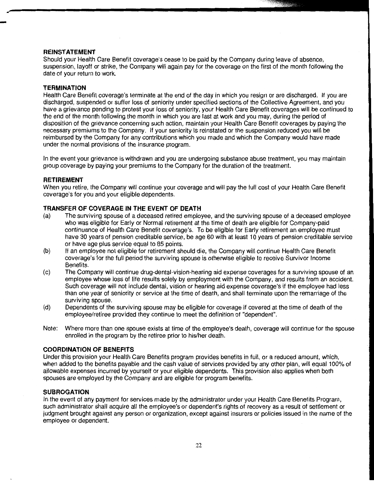#### **REINSTATEMENT**

.<br>-<br>-

Should your Health Care Benefit coverage's cease to be paid by the Company during leave of absence, suspension, layoff or strike, the Company will again pay for the coverage on the first of the month following the date of your return to work.

#### **TERMINATION**

Health Care Benefit coverage's terminate at the end of the day in which you resign or are discharged. If you are discharged, suspended or suffer loss of seniority under specified sections of the Collective Agreement, and you have a grievance pending to protest your loss of seniority, your Health Care Benefit coverages will be continued to the end of the month following the month in which you are last at work and you may, during the period of disposition of the grievance concerning such action, maintain your Health Care Benefit coverages by paying the necessary premiums to the Company. If your seniority is reinstated or the suspension reduced you will be reimbursed by the Company for any contributions which you made and which the Company would have made under the normal provisions of the insurance program.

In the event your grievance is withdrawn and you are undergoing substance abuse treatment, you may maintain group coverage by paying your premiums to the Company for the duration of the treatment.

#### **RETIREMENT**

When you retire, the Company will continue your coverage and will pay the full cost of your Health Care Benefit coverage's for you and your eligible dependents.

#### **TRANSFER OF COVERAGE IN THE EVENT OF DEATH**

- (a) The surviving spouse of a deceased retired employee, and the surviving spouse of a deceased employee who was eligible for Early or Normal retirement at the time of death are eligible for Company-paid continuance of Health Care Benefit coverage's. To be eligible for Early retirement an employee must have 30 years of pension creditable service, be age 60 with at least 10 years of pension creditable service or have age plus service equal to 85 points.
- (b) If an employee not eligible for retirement should die, the Company will continue Health Care Benefit coverage's for the full period the surviving spouse is otherwise eligible to receive Survivor Income Benefits.
- (c) The Company will continue drug-dental-vision-hearing aid expense coverages for a surviving spouse of an employee whose loss of life results solely by employment with the Company, and results from an accident. Such coverage will not include dental, vision or hearing aid expense coverage's if the employee had less than one year of seniority or service at the time of death, and shall terminate upon the remarriage of the surviving spouse.
- (d) Dependents of the surviving spouse may be eligible for coverage if covered at the time of death of the employee/retiree provided they continue to meet the definition of "dependent".
- Note: Where more than one spouse exists at time of the employee's death, coverage will continue for the spouse enrolled in the program by the retiree prior to his/her death.

#### **COORDINATION OF BENEFITS**

Under this provision your Health Care Benefits program provides benefits in full, or a reduced amount, which, when added to the benefits payable and the cash value of services provided by any other plan, will equal 1 00% of allowable expenses incurred by yourself or your eligible dependents. This provision also applies when both spouses are employed by the Company and are eligible for program benefits.

#### **SUBROGATION**

In the event of any payment for services made by the administrator under your Health Care Benefits Program, such administrator shall acquire all the employee's or dependent's rights of recovery as a result of settlement or judgment brought against any person or organization, except against insurers or policies issued in the name of the employee or dependent.